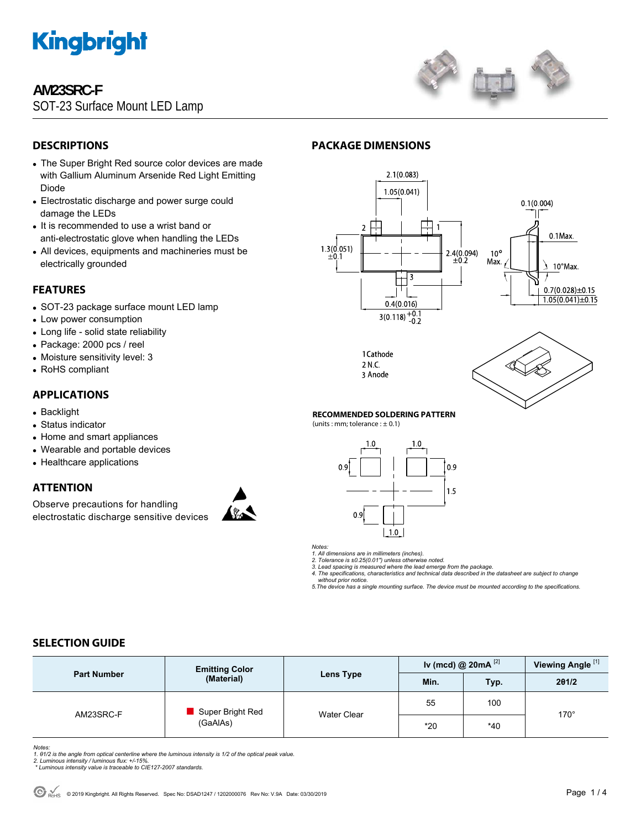

## **AM23SRC-F**

SOT-23 Surface Mount LED Lamp



## **DESCRIPTIONS**

- The Super Bright Red source color devices are made with Gallium Aluminum Arsenide Red Light Emitting Diode
- Electrostatic discharge and power surge could damage the LEDs
- It is recommended to use a wrist band or anti-electrostatic glove when handling the LEDs
- All devices, equipments and machineries must be electrically grounded

## **FEATURES**

- SOT-23 package surface mount LED lamp
- Low power consumption
- Long life solid state reliability
- Package: 2000 pcs / reel
- Moisture sensitivity level: 3
- RoHS compliant

## **APPLICATIONS**

- Backlight
- Status indicator
- Home and smart appliances
- Wearable and portable devices
- Healthcare applications

## **ATTENTION**

Observe precautions for handling electrostatic discharge sensitive devices



## **PACKAGE DIMENSIONS**



1 Cathode 2 N.C. 3 Anode



#### **RECOMMENDED SOLDERING PATTERN**

 $(units:mm:tolerance:  $\pm$  0.1)$ 



*Notes:* 

*1. All dimensions are in millimeters (inches). 2. Tolerance is ±0.25(0.01") unless otherwise noted.* 

*3. Lead spacing is measured where the lead emerge from the package. 4. The specifications, characteristics and technical data described in the datasheet are subject to change* 

 *without prior notice. 5.The device has a single mounting surface. The device must be mounted according to the specifications.* 

## **SELECTION GUIDE**

| <b>Part Number</b> | <b>Emitting Color</b><br>(Material) | Lens Type          | Iv (mcd) @ 20mA $^{[2]}$ |       | Viewing Angle <sup>[1]</sup> |  |
|--------------------|-------------------------------------|--------------------|--------------------------|-------|------------------------------|--|
|                    |                                     |                    | Min.                     | Typ.  | 201/2                        |  |
| AM23SRC-F          | Super Bright Red<br>(GaAlAs)        | <b>Water Clear</b> | 55                       | 100   | $170^\circ$                  |  |
|                    |                                     |                    | $*20$                    | $*40$ |                              |  |

*Notes:* 

*1. θ1/2 is the angle from optical centerline where the luminous intensity is 1/2 of the optical peak value. 2. Luminous intensity / luminous flux: +/-15%.* 

 *\* Luminous intensity value is traceable to CIE127-2007 standards.*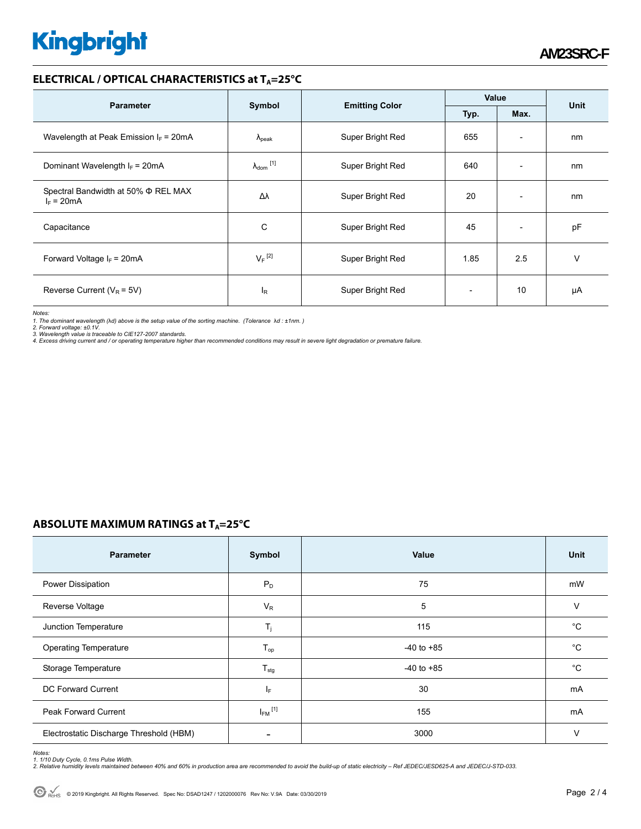# **Kingbright**

## **ELECTRICAL / OPTICAL CHARACTERISTICS at T<sub>A</sub>=25°C**

| <b>Parameter</b>                                    |                                                 |                  | Value       |                          |    |
|-----------------------------------------------------|-------------------------------------------------|------------------|-------------|--------------------------|----|
|                                                     | Symbol<br><b>Emitting Color</b><br>Typ.<br>Max. |                  | <b>Unit</b> |                          |    |
| Wavelength at Peak Emission $I_F = 20 \text{mA}$    | $\lambda_{\rm peak}$                            | Super Bright Red | 655         | $\overline{\phantom{a}}$ | nm |
| Dominant Wavelength $I_F$ = 20mA                    | $\lambda_{\text{dom}}$ [1]                      | Super Bright Red | 640         | $\overline{\phantom{a}}$ | nm |
| Spectral Bandwidth at 50% Φ REL MAX<br>$I_F = 20mA$ | Δλ                                              | Super Bright Red | 20          | $\overline{\phantom{a}}$ | nm |
| Capacitance                                         | С                                               | Super Bright Red | 45          | $\overline{\phantom{a}}$ | pF |
| Forward Voltage $I_F = 20mA$                        | $V_F$ <sup>[2]</sup>                            | Super Bright Red | 1.85        | 2.5                      | v  |
| Reverse Current ( $V_R$ = 5V)                       | l <sub>R</sub>                                  | Super Bright Red |             | 10                       | μA |

*Notes:* 

1. The dominant wavelength (λd) above is the setup value of the sorting machine. (Tolerance λd : ±1nm. )<br>2. Forward voltage: ±0.1V.<br>3. Wavelength value is traceable to CIE127-2007 standards.<br>4. Excess driving current and

## **ABSOLUTE MAXIMUM RATINGS at T<sub>A</sub>=25°C**

| <b>Parameter</b>                        | Symbol                     | Value          | <b>Unit</b>  |
|-----------------------------------------|----------------------------|----------------|--------------|
| Power Dissipation                       | $P_D$                      | 75             | mW           |
| Reverse Voltage                         | $V_R$                      | 5              | $\vee$       |
| Junction Temperature                    | $T_j$                      | 115            | $^{\circ}C$  |
| <b>Operating Temperature</b>            | $\mathsf{T}_{\mathsf{op}}$ | $-40$ to $+85$ | $^{\circ}C$  |
| Storage Temperature                     | $T_{\text{stg}}$           | $-40$ to $+85$ | $^{\circ}$ C |
| DC Forward Current                      | ΙF                         | 30             | mA           |
| <b>Peak Forward Current</b>             | $I_{FM}$ <sup>[1]</sup>    | 155            | mA           |
| Electrostatic Discharge Threshold (HBM) | $\overline{\phantom{a}}$   | 3000           | $\vee$       |

Notes:<br>1. 1/10 Duty Cycle, 0.1ms Pulse Width.<br>2. Relative humidity levels maintained between 40% and 60% in production area are recommended to avoid the build-up of static electricity – Ref JEDEC/JESD625-A and JEDEC/J-STD-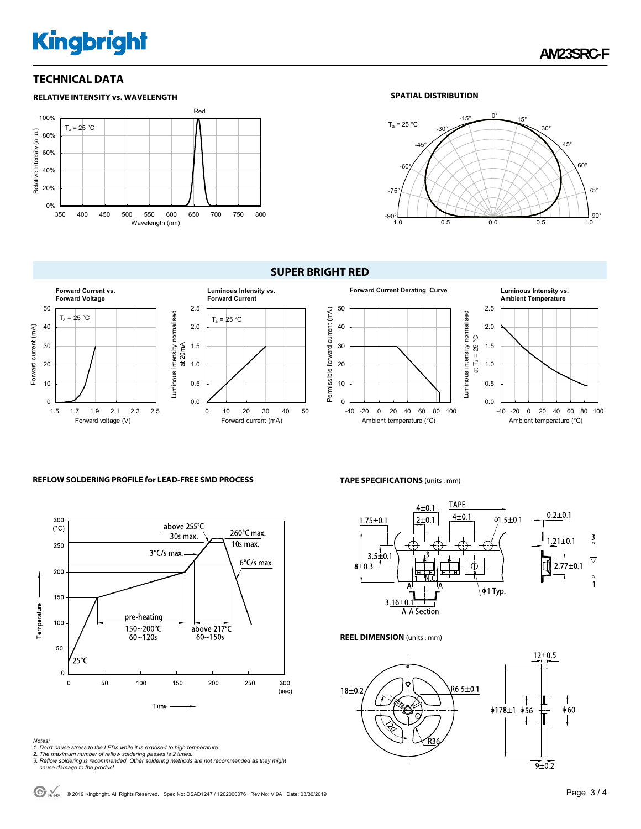# **Kingbright**

## **TECHNICAL DATA**



#### **SPATIAL DISTRIBUTION**



#### **SUPER BRIGHT RED**





#### **REFLOW SOLDERING PROFILE for LEAD-FREE SMD PROCESS**



#### *Notes:*

- 
- 
- 1. Don't cause stress to the LEDs while it is exposed to high temperature.<br>2. The maximum number of reflow soldering passes is 2 times.<br>3. Reflow soldering is recommended. Other soldering methods are not recommended as the  *cause damage to the product.*

#### **TAPE SPECIFICATIONS** (units : mm)



#### **REEL DIMENSION** (units : mm)